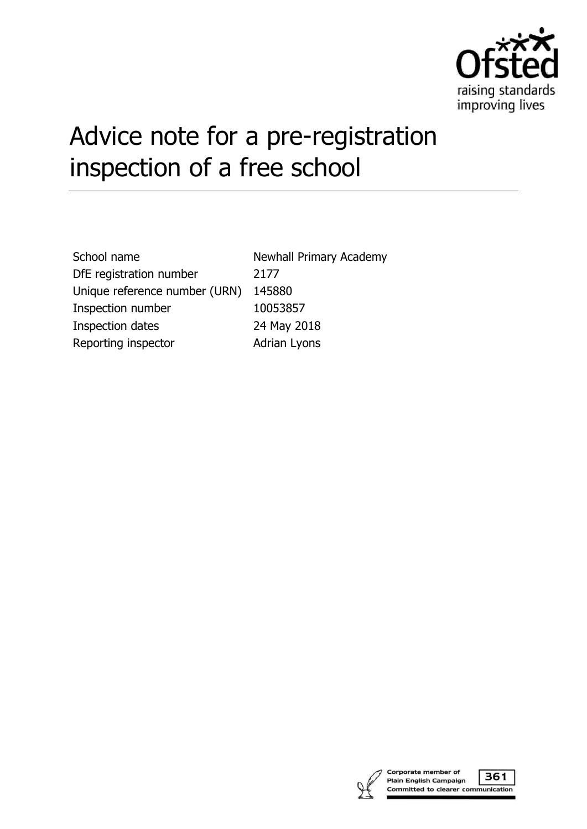

# Advice note for a pre-registration inspection of a free school

| School name                   | Newhall P         |
|-------------------------------|-------------------|
| DfE registration number       | 2177              |
| Unique reference number (URN) | 145880            |
| Inspection number             | 10053857          |
| <b>Inspection dates</b>       | 24 May 20         |
| Reporting inspector           | <b>Adrian Lyo</b> |

all Primary Academy ay 2018 n Lyons

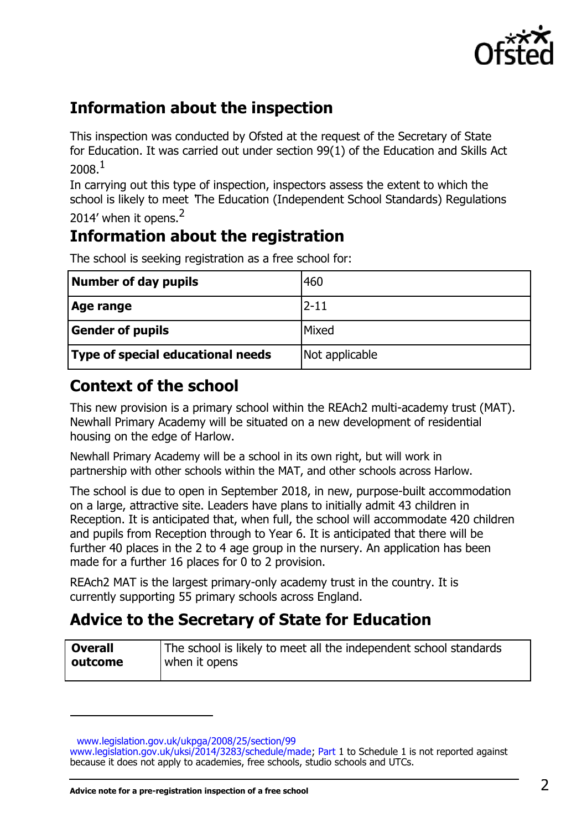

## **Information about the inspection**

This inspection was conducted by Ofsted at the request of the Secretary of State for Education. It was carried out under section 99(1) of the Education and Skills Act 2008 $1$ 

In carrying out this type of inspection, inspectors assess the extent to which the school is likely to meet 'The Education (Independent School Standards) Regulations 2014' when it opens.<sup>2</sup>

# **Information about the registration**

| Number of day pupils              | 460            |
|-----------------------------------|----------------|
| Age range                         | $2 - 11$       |
| <b>Gender of pupils</b>           | Mixed          |
| Type of special educational needs | Not applicable |

The school is seeking registration as a free school for:

# **Context of the school**

This new provision is a primary school within the REAch2 multi-academy trust (MAT). Newhall Primary Academy will be situated on a new development of residential housing on the edge of Harlow.

Newhall Primary Academy will be a school in its own right, but will work in partnership with other schools within the MAT, and other schools across Harlow.

The school is due to open in September 2018, in new, purpose-built accommodation on a large, attractive site. Leaders have plans to initially admit 43 children in Reception. It is anticipated that, when full, the school will accommodate 420 children and pupils from Reception through to Year 6. It is anticipated that there will be further 40 places in the 2 to 4 age group in the nursery. An application has been made for a further 16 places for 0 to 2 provision.

REAch2 MAT is the largest primary-only academy trust in the country. It is currently supporting 55 primary schools across England.

## **Advice to the Secretary of State for Education**

| <b>Overall</b> | The school is likely to meet all the independent school standards |
|----------------|-------------------------------------------------------------------|
| outcome        | when it opens                                                     |
|                |                                                                   |

[www.legislation.gov.uk/ukpga/2008/25/section/99](http://www.legislation.gov.uk/ukpga/2008/25/section/99)

[www.legislation.gov.uk/uksi/2014/3283/schedule/made; P](http://www.legislation.gov.uk/uksi/2014/3283/schedule/made)art 1 to Schedule 1 is not reported against because it does not apply to academies, free schools, studio schools and UTCs.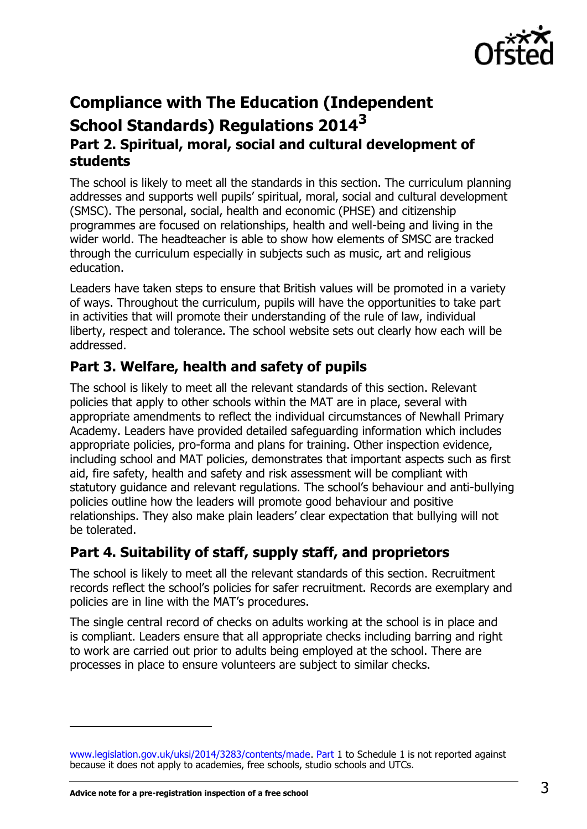

## **Compliance with The Education (Independent School Standards) Regulations 2014<sup>3</sup> Part 2. Spiritual, moral, social and cultural development of students**

The school is likely to meet all the standards in this section. The curriculum planning addresses and supports well pupils' spiritual, moral, social and cultural development (SMSC). The personal, social, health and economic (PHSE) and citizenship programmes are focused on relationships, health and well-being and living in the wider world. The headteacher is able to show how elements of SMSC are tracked through the curriculum especially in subjects such as music, art and religious education.

Leaders have taken steps to ensure that British values will be promoted in a variety of ways. Throughout the curriculum, pupils will have the opportunities to take part in activities that will promote their understanding of the rule of law, individual liberty, respect and tolerance. The school website sets out clearly how each will be addressed.

## **Part 3. Welfare, health and safety of pupils**

The school is likely to meet all the relevant standards of this section. Relevant policies that apply to other schools within the MAT are in place, several with appropriate amendments to reflect the individual circumstances of Newhall Primary Academy. Leaders have provided detailed safeguarding information which includes appropriate policies, pro-forma and plans for training. Other inspection evidence, including school and MAT policies, demonstrates that important aspects such as first aid, fire safety, health and safety and risk assessment will be compliant with statutory guidance and relevant regulations. The school's behaviour and anti-bullying policies outline how the leaders will promote good behaviour and positive relationships. They also make plain leaders' clear expectation that bullying will not be tolerated.

## **Part 4. Suitability of staff, supply staff, and proprietors**

The school is likely to meet all the relevant standards of this section. Recruitment records reflect the school's policies for safer recruitment. Records are exemplary and policies are in line with the MAT's procedures.

The single central record of checks on adults working at the school is in place and is compliant. Leaders ensure that all appropriate checks including barring and right to work are carried out prior to adults being employed at the school. There are processes in place to ensure volunteers are subject to similar checks.

[www.legislation.gov.uk/uksi/2014/3283/contents/made. P](http://www.legislation.gov.uk/uksi/2014/3283/contents/made)art 1 to Schedule 1 is not reported against because it does not apply to academies, free schools, studio schools and UTCs.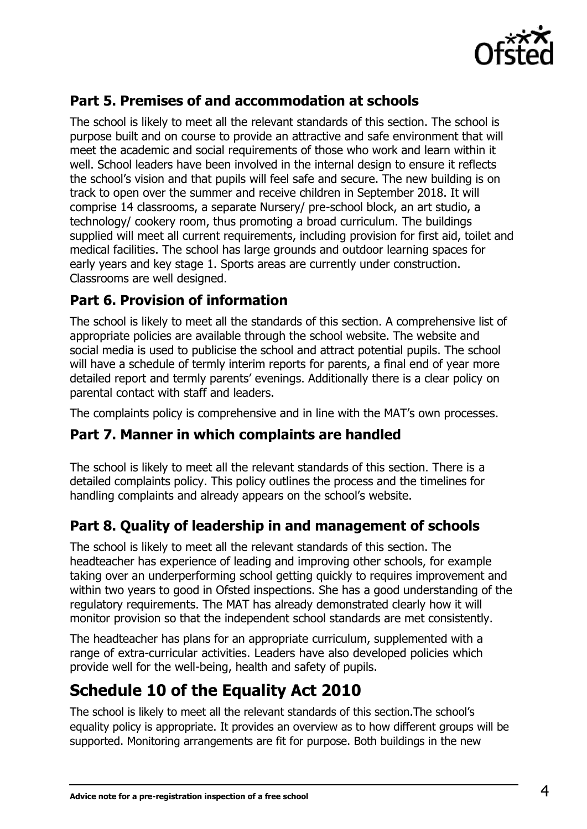

## **Part 5. Premises of and accommodation at schools**

The school is likely to meet all the relevant standards of this section. The school is purpose built and on course to provide an attractive and safe environment that will meet the academic and social requirements of those who work and learn within it well. School leaders have been involved in the internal design to ensure it reflects the school's vision and that pupils will feel safe and secure. The new building is on track to open over the summer and receive children in September 2018. It will comprise 14 classrooms, a separate Nursery/ pre-school block, an art studio, a technology/ cookery room, thus promoting a broad curriculum. The buildings supplied will meet all current requirements, including provision for first aid, toilet and medical facilities. The school has large grounds and outdoor learning spaces for early years and key stage 1. Sports areas are currently under construction. Classrooms are well designed.

#### **Part 6. Provision of information**

The school is likely to meet all the standards of this section. A comprehensive list of appropriate policies are available through the school website. The website and social media is used to publicise the school and attract potential pupils. The school will have a schedule of termly interim reports for parents, a final end of year more detailed report and termly parents' evenings. Additionally there is a clear policy on parental contact with staff and leaders.

The complaints policy is comprehensive and in line with the MAT's own processes.

#### **Part 7. Manner in which complaints are handled**

The school is likely to meet all the relevant standards of this section. There is a detailed complaints policy. This policy outlines the process and the timelines for handling complaints and already appears on the school's website.

#### **Part 8. Quality of leadership in and management of schools**

The school is likely to meet all the relevant standards of this section. The headteacher has experience of leading and improving other schools, for example taking over an underperforming school getting quickly to requires improvement and within two years to good in Ofsted inspections. She has a good understanding of the regulatory requirements. The MAT has already demonstrated clearly how it will monitor provision so that the independent school standards are met consistently.

The headteacher has plans for an appropriate curriculum, supplemented with a range of extra-curricular activities. Leaders have also developed policies which provide well for the well-being, health and safety of pupils.

## **Schedule 10 of the Equality Act 2010**

The school is likely to meet all the relevant standards of this section.The school's equality policy is appropriate. It provides an overview as to how different groups will be supported. Monitoring arrangements are fit for purpose. Both buildings in the new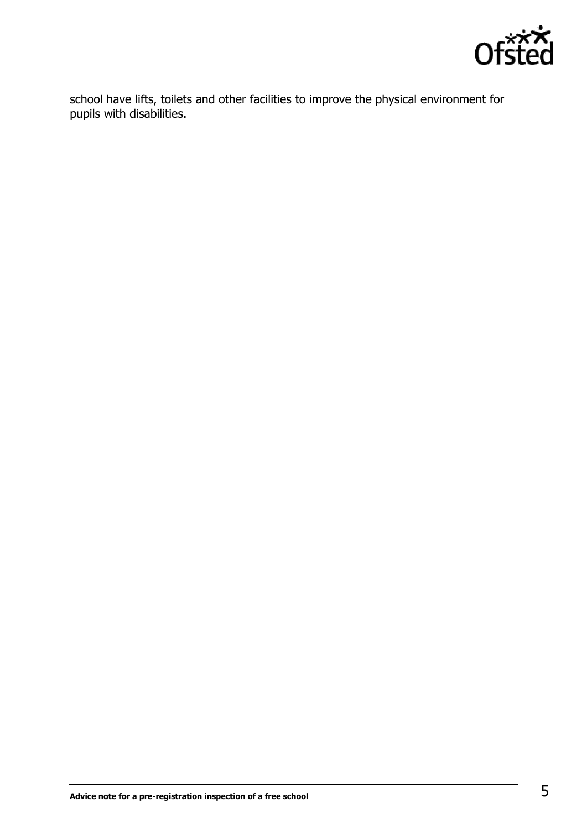

school have lifts, toilets and other facilities to improve the physical environment for pupils with disabilities.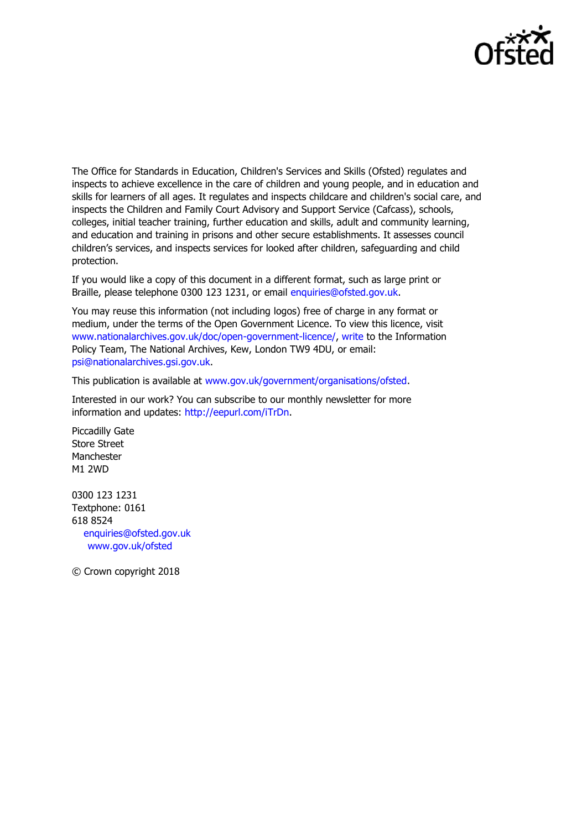

The Office for Standards in Education, Children's Services and Skills (Ofsted) regulates and inspects to achieve excellence in the care of children and young people, and in education and skills for learners of all ages. It regulates and inspects childcare and children's social care, and inspects the Children and Family Court Advisory and Support Service (Cafcass), schools, colleges, initial teacher training, further education and skills, adult and community learning, and education and training in prisons and other secure establishments. It assesses council children's services, and inspects services for looked after children, safeguarding and child protection.

If you would like a copy of this document in a different format, such as large print or Braille, please telephone 0300 123 1231, or email [enquiries@ofsted.gov.uk.](mailto:enquiries@ofsted.gov.uk)

You may reuse this information (not including logos) free of charge in any format or medium, under the terms of the Open Government Licence. To view this licence, visit [www.nationalarchives.gov.uk/doc/open-government-licence/, w](http://www.nationalarchives.gov.uk/doc/open-government-licence/)rite to the Information Policy Team, The National Archives, Kew, London TW9 4DU, or email: [psi@nationalarchives.gsi.gov.uk.](mailto:psi@nationalarchives.gsi.gov.uk)

This publication is available at [www.gov.uk/government/organisations/ofsted.](http://www.gov.uk/government/organisations/ofsted)

Interested in our work? You can subscribe to our monthly newsletter for more information and updates: [http://eepurl.com/iTrDn.](http://eepurl.com/iTrDn)

Piccadilly Gate Store Street Manchester M1 2WD

0300 123 1231 Textphone: 0161 618 8524 enquiries@ofsted.gov.uk [www.gov.uk/ofsted](http://www.gov.uk/ofsted)

© Crown copyright 2018